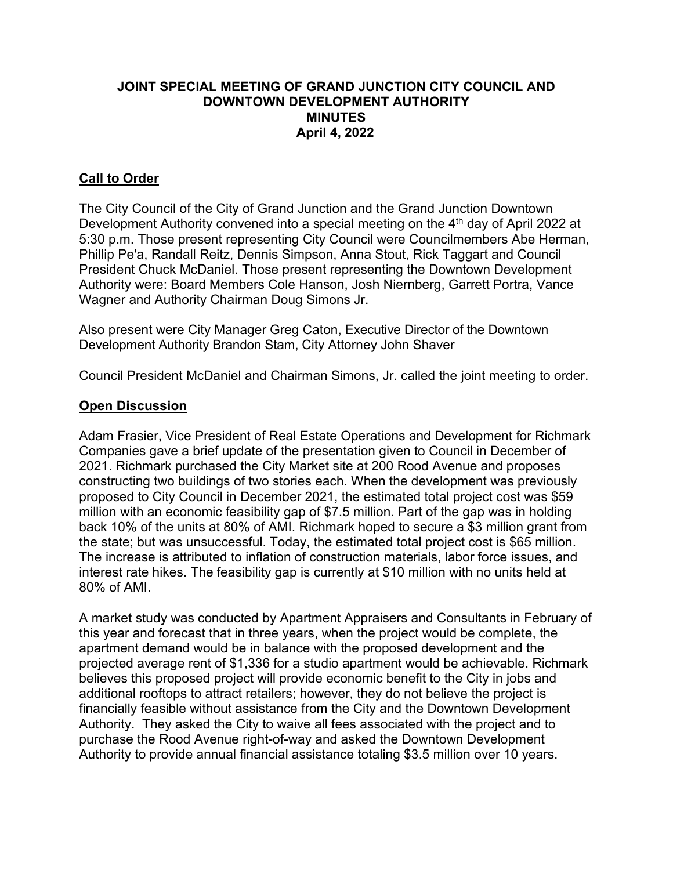## **JOINT SPECIAL MEETING OF GRAND JUNCTION CITY COUNCIL AND DOWNTOWN DEVELOPMENT AUTHORITY MINUTES April 4, 2022**

# **Call to Order**

The City Council of the City of Grand Junction and the Grand Junction Downtown Development Authority convened into a special meeting on the  $4<sup>th</sup>$  day of April 2022 at 5:30 p.m. Those present representing City Council were Councilmembers Abe Herman, Phillip Pe'a, Randall Reitz, Dennis Simpson, Anna Stout, Rick Taggart and Council President Chuck McDaniel. Those present representing the Downtown Development Authority were: Board Members Cole Hanson, Josh Niernberg, Garrett Portra, Vance Wagner and Authority Chairman Doug Simons Jr.

Also present were City Manager Greg Caton, Executive Director of the Downtown Development Authority Brandon Stam, City Attorney John Shaver

Council President McDaniel and Chairman Simons, Jr. called the joint meeting to order.

### **Open Discussion**

Adam Frasier, Vice President of Real Estate Operations and Development for Richmark Companies gave a brief update of the presentation given to Council in December of 2021. Richmark purchased the City Market site at 200 Rood Avenue and proposes constructing two buildings of two stories each. When the development was previously proposed to City Council in December 2021, the estimated total project cost was \$59 million with an economic feasibility gap of \$7.5 million. Part of the gap was in holding back 10% of the units at 80% of AMI. Richmark hoped to secure a \$3 million grant from the state; but was unsuccessful. Today, the estimated total project cost is \$65 million. The increase is attributed to inflation of construction materials, labor force issues, and interest rate hikes. The feasibility gap is currently at \$10 million with no units held at 80% of AMI.

A market study was conducted by Apartment Appraisers and Consultants in February of this year and forecast that in three years, when the project would be complete, the apartment demand would be in balance with the proposed development and the projected average rent of \$1,336 for a studio apartment would be achievable. Richmark believes this proposed project will provide economic benefit to the City in jobs and additional rooftops to attract retailers; however, they do not believe the project is financially feasible without assistance from the City and the Downtown Development Authority. They asked the City to waive all fees associated with the project and to purchase the Rood Avenue right-of-way and asked the Downtown Development Authority to provide annual financial assistance totaling \$3.5 million over 10 years.